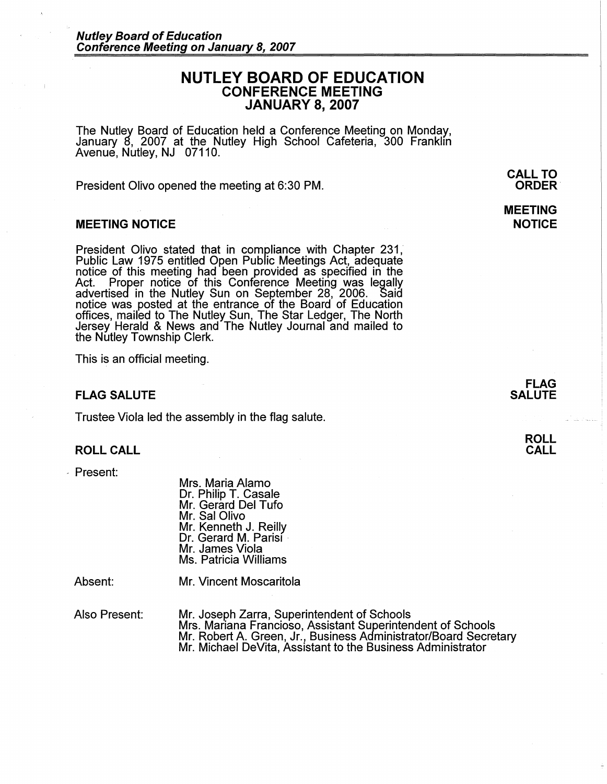# **NUTLEY BOARD OF EDUCATION CONFERENCE MEETING JANUARY 8, 2007**

The Nutley Board of Education held a Conference Meeting on Monday, January 8, 2007 at the Nutley High School Cafeteria, 300 Franklin Avenue, Nutley, NJ 07110. ·

President Olivo opened the meeting at 6:30 PM.

## **MEETING NOTICE**

President Olivo stated that in compliance with Chapter 231, Public Law 1975 entitled Open Public Meetings Act, adequate notice of this meeting had been provided as specified in the Act. Proper notice of this Conference Meeting was legally advertised in the Nutley Sun on September 28, 2006.. Said notice was posted at the entrance of the Board of Education offices, mailed to The Nutley Sun, The Star Ledger, The North Jersey Herald & News and The Nutley Journal and mailed to the Nutley Township Clerk.

This is an official meeting.

# **FLAG SALUTE**

Trustee Viola led the assembly in the flag salute.

### **ROLL CALL**

- Present:

Mrs. Maria Alamo Dr. Philip T. Casale Mr. Gerard Del Tufo Mr. Sal Olivo Mr. Kenneth J. Reilly Dr. Gerard M. Parisi<br>Mr. James Viola Ms. Patricia Williams

Absent:

Mr. Vincent Moscaritola

Also Present: Mr. Joseph Zarra, Superintendent of Schools Mrs. Mariana Franciosa, Assistant Superintendent of Schools Mr. Robert A. Green, Jr., Business Administrator/Board Secretary Mr. Michael DeVita, Assistant to the Business Administrator

**CALL TO ORDER·** 

# **MEETING NOTICE**

**FLAG SALUTE** 

| <b>ROLL</b> |  |
|-------------|--|
| <b>CALL</b> |  |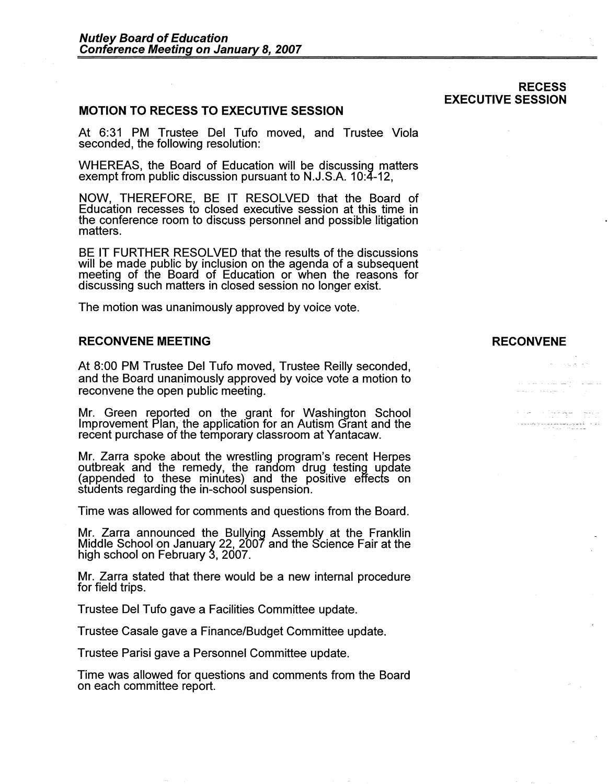# **MOTION TO RECESS TO EXECUTIVE SESSION**

At 6:31 PM Trustee Del Tufo moved, and Trustee Viola seconded, the following resolution:

WHEREAS, the Board of Education will be discussing matters exempt from public discussion pursuant to N.J.S.A. 10:4-12,

**NOW,** THEREFORE, BE IT RESOLVED that the Board of Education recesses to closed executive session at this time in the conference room to discuss personnel and possible litigation matters.

BE IT FURTHER RESOLVED that the results of the discussions will be made public by inclusion on the agenda of a subsequent meeting of the Board of Education or when the reasons for discussing such matters in closed session no longer exist.

The motion was unanimously approved by voice vote.

### **RECONVENE MEETING**

At 8:00 PM Trustee Del Tufo moved, Trustee Reilly seconded, and the Board unanimously approved by voice vote a motion to reconvene the open public meeting.

Mr. Green reported on the grant for Washington School Improvement Plan, the application for an Autism Grant and the recent purchase of the temporary classroom at Yantacaw.

Mr. Zarra spoke about the wrestling program's recent Herpes outbreak and the remedy, the random drug testing update (appended to these minutes) and the positive effects on students regarding the in-school suspension.

Time was allowed for comments and questions from the Board.

Mr. Zarra announced the Bullying Assembly at the Franklin Middle School on January 22, 2007 and the Science Fair at the high school on February 3, 2007.

Mr. Zarra stated that there would be a new internal procedure for field trips.

Trustee Del Tufo gave a Facilities Committee update.

Trustee Casale gave a Finance/Budget Committee update.

Trustee Parisi gave a Personnel Committee update.

Time was allowed for questions and comments from the Board on each committee report.

#### **RECONVENE**

ا عراء – الإيمانيوني ومدير بمرد ليا.<br>المراجع

ساف الأرضا ستدما عادات .<br>San Barangar

t is college.

### **RECESS EXECUTIVE SESSION**